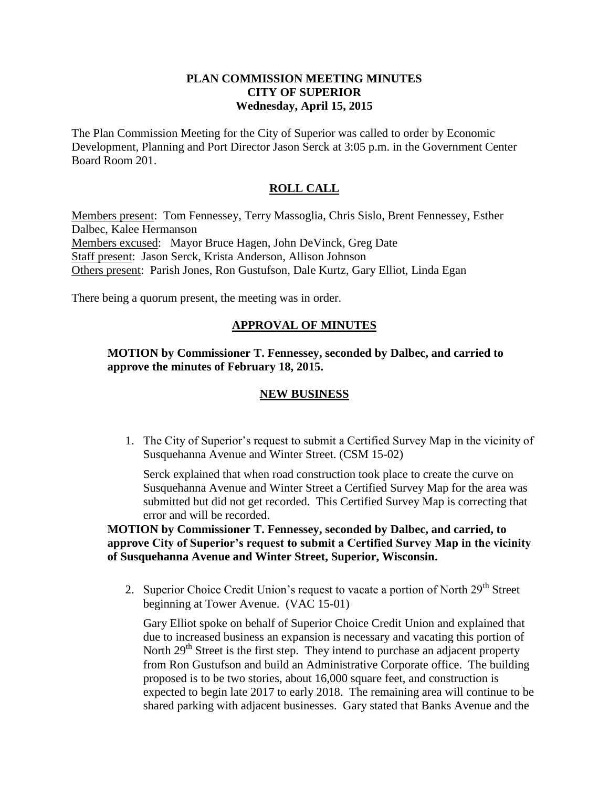#### **PLAN COMMISSION MEETING MINUTES CITY OF SUPERIOR Wednesday, April 15, 2015**

The Plan Commission Meeting for the City of Superior was called to order by Economic Development, Planning and Port Director Jason Serck at 3:05 p.m. in the Government Center Board Room 201.

# **ROLL CALL**

Members present: Tom Fennessey, Terry Massoglia, Chris Sislo, Brent Fennessey, Esther Dalbec, Kalee Hermanson Members excused: Mayor Bruce Hagen, John DeVinck, Greg Date Staff present: Jason Serck, Krista Anderson, Allison Johnson Others present: Parish Jones, Ron Gustufson, Dale Kurtz, Gary Elliot, Linda Egan

There being a quorum present, the meeting was in order.

## **APPROVAL OF MINUTES**

#### **MOTION by Commissioner T. Fennessey, seconded by Dalbec, and carried to approve the minutes of February 18, 2015.**

## **NEW BUSINESS**

1. The City of Superior's request to submit a Certified Survey Map in the vicinity of Susquehanna Avenue and Winter Street. (CSM 15-02)

Serck explained that when road construction took place to create the curve on Susquehanna Avenue and Winter Street a Certified Survey Map for the area was submitted but did not get recorded. This Certified Survey Map is correcting that error and will be recorded.

**MOTION by Commissioner T. Fennessey, seconded by Dalbec, and carried, to approve City of Superior's request to submit a Certified Survey Map in the vicinity of Susquehanna Avenue and Winter Street, Superior, Wisconsin.**

2. Superior Choice Credit Union's request to vacate a portion of North 29<sup>th</sup> Street beginning at Tower Avenue. (VAC 15-01)

Gary Elliot spoke on behalf of Superior Choice Credit Union and explained that due to increased business an expansion is necessary and vacating this portion of North 29<sup>th</sup> Street is the first step. They intend to purchase an adjacent property from Ron Gustufson and build an Administrative Corporate office. The building proposed is to be two stories, about 16,000 square feet, and construction is expected to begin late 2017 to early 2018. The remaining area will continue to be shared parking with adjacent businesses. Gary stated that Banks Avenue and the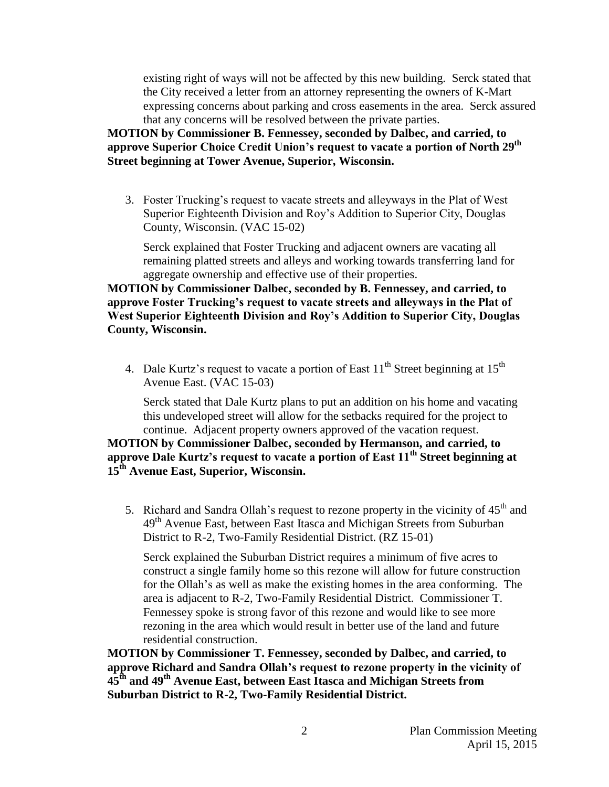existing right of ways will not be affected by this new building. Serck stated that the City received a letter from an attorney representing the owners of K-Mart expressing concerns about parking and cross easements in the area. Serck assured that any concerns will be resolved between the private parties.

**MOTION by Commissioner B. Fennessey, seconded by Dalbec, and carried, to approve Superior Choice Credit Union's request to vacate a portion of North 29th Street beginning at Tower Avenue, Superior, Wisconsin.**

3. Foster Trucking's request to vacate streets and alleyways in the Plat of West Superior Eighteenth Division and Roy's Addition to Superior City, Douglas County, Wisconsin. (VAC 15-02)

Serck explained that Foster Trucking and adjacent owners are vacating all remaining platted streets and alleys and working towards transferring land for aggregate ownership and effective use of their properties.

**MOTION by Commissioner Dalbec, seconded by B. Fennessey, and carried, to approve Foster Trucking's request to vacate streets and alleyways in the Plat of West Superior Eighteenth Division and Roy's Addition to Superior City, Douglas County, Wisconsin.**

4. Dale Kurtz's request to vacate a portion of East  $11<sup>th</sup>$  Street beginning at  $15<sup>th</sup>$ Avenue East. (VAC 15-03)

Serck stated that Dale Kurtz plans to put an addition on his home and vacating this undeveloped street will allow for the setbacks required for the project to continue. Adjacent property owners approved of the vacation request.

**MOTION by Commissioner Dalbec, seconded by Hermanson, and carried, to approve Dale Kurtz's request to vacate a portion of East 11th Street beginning at 15th Avenue East, Superior, Wisconsin.**

5. Richard and Sandra Ollah's request to rezone property in the vicinity of  $45<sup>th</sup>$  and 49<sup>th</sup> Avenue East, between East Itasca and Michigan Streets from Suburban District to R-2, Two-Family Residential District. (RZ 15-01)

Serck explained the Suburban District requires a minimum of five acres to construct a single family home so this rezone will allow for future construction for the Ollah's as well as make the existing homes in the area conforming. The area is adjacent to R-2, Two-Family Residential District. Commissioner T. Fennessey spoke is strong favor of this rezone and would like to see more rezoning in the area which would result in better use of the land and future residential construction.

**MOTION by Commissioner T. Fennessey, seconded by Dalbec, and carried, to approve Richard and Sandra Ollah's request to rezone property in the vicinity of 45th and 49th Avenue East, between East Itasca and Michigan Streets from Suburban District to R-2, Two-Family Residential District.**